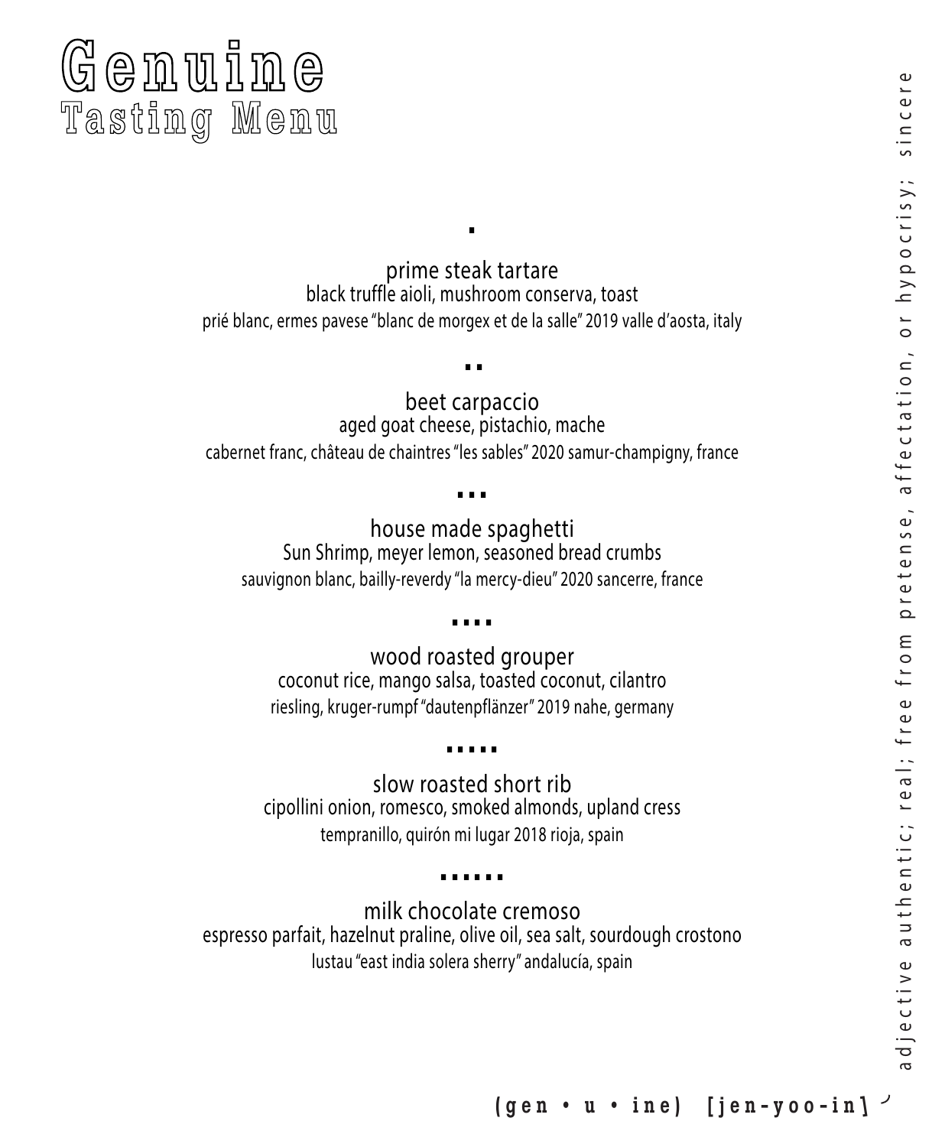# adjective authentic; real; free from pretense, affectation, or hypocrisy; sincere a d je c tive au thentic; real; free from pretense, affectation, or hypocrisy; sincer

# Genuine <sup>e</sup> Tasting Menu

prime steak tartare black truffle aioli, mushroom conserva, toast prié blanc, ermes pavese "blanc de morgex et de la salle" 2019 valle d'aosta, italy

.

.. beet carpaccio

aged goat cheese, pistachio, mache cabernet franc, château de chaintres "les sables" 2020 samur-champigny, france

### ...

house made spaghetti Sun Shrimp, meyer lemon, seasoned bread crumbs sauvignon blanc, bailly-reverdy "la mercy-dieu" 2020 sancerre, france

### ....

wood roasted grouper coconut rice, mango salsa, toasted coconut, cilantro riesling, kruger-rumpf "dautenpflänzer" 2019 nahe, germany

## .....

slow roasted short rib<br>cipollini onion, romesco, smoked almonds, upland cress tempranillo, quirón mi lugar 2018 rioja, spain

### ......

milk chocolate cremoso espresso parfait, hazelnut praline, olive oil, sea salt, sourdough crostono lustau "east india solera sherry" andalucía, spain